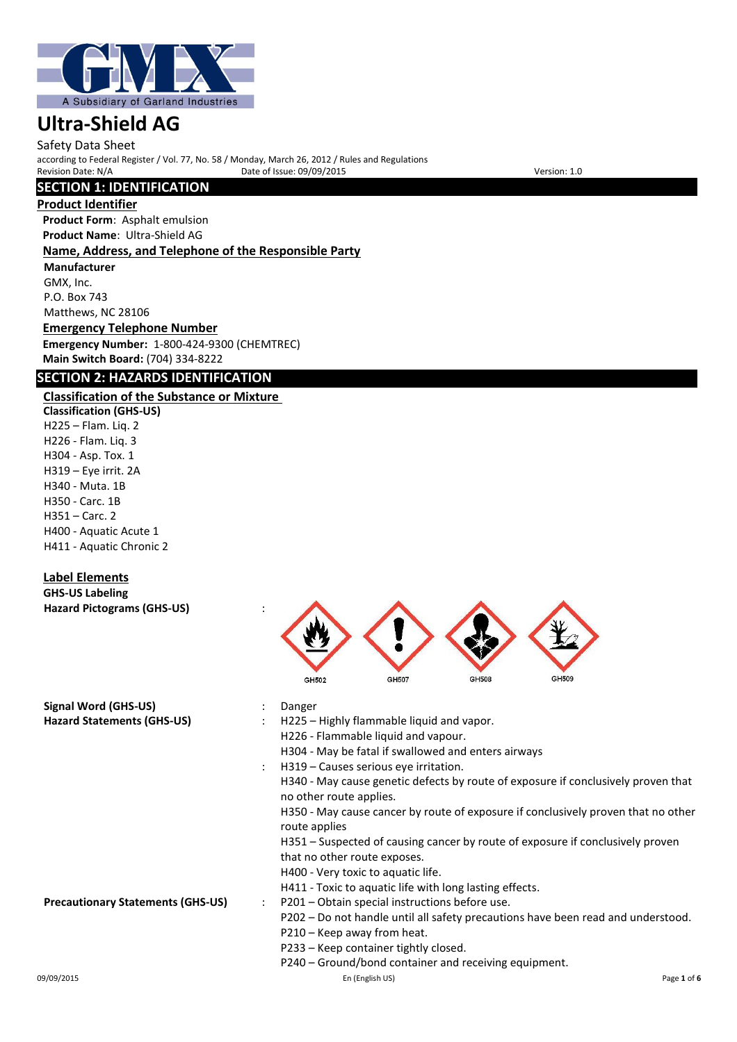

Safety Data Sheet according to Federal Register / Vol. 77, No. 58 / Monday, March 26, 2012 / Rules and Regulations Provide of Issue: 09/09/2015

# **SECTION 1: IDENTIFICATION**

#### **Product Identifier**

**Product Form**: Asphalt emulsion **Product Name**: Ultra-Shield AG **Name, Address, and Telephone of the Responsible Party**

# **Manufacturer**

GMX, Inc. P.O. Box 743 Matthews, NC 28106

**Emergency Telephone Number Emergency Number:** 1-800-424-9300 (CHEMTREC) **Main Switch Board:** (704) 334-8222

# **SECTION 2: HAZARDS IDENTIFICATION**

## **Classification of the Substance or Mixture**

**Classification (GHS-US)** H225 – Flam. Liq. 2 H226 - Flam. Liq. 3 H304 - Asp. Tox. 1 H319 – Eye irrit. 2A H340 - Muta. 1B H350 - Carc. 1B H351 – Carc. 2 H400 - Aquatic Acute 1 H411 - Aquatic Chronic 2

# **Label Elements**

**GHS-US Labeling Hazard Pictograms (GHS-US)** :



| Signal Word (GHS-US)                     |   | Danger                                                                                                       |             |
|------------------------------------------|---|--------------------------------------------------------------------------------------------------------------|-------------|
| <b>Hazard Statements (GHS-US)</b>        |   | H225 – Highly flammable liquid and vapor.                                                                    |             |
|                                          |   | H226 - Flammable liquid and vapour.                                                                          |             |
|                                          |   | H304 - May be fatal if swallowed and enters airways                                                          |             |
|                                          |   | H319 – Causes serious eye irritation.                                                                        |             |
|                                          |   | H340 - May cause genetic defects by route of exposure if conclusively proven that<br>no other route applies. |             |
|                                          |   | H350 - May cause cancer by route of exposure if conclusively proven that no other<br>route applies           |             |
|                                          |   | H351 - Suspected of causing cancer by route of exposure if conclusively proven                               |             |
|                                          |   | that no other route exposes.                                                                                 |             |
|                                          |   | H400 - Very toxic to aquatic life.                                                                           |             |
|                                          |   | H411 - Toxic to aquatic life with long lasting effects.                                                      |             |
| <b>Precautionary Statements (GHS-US)</b> | ÷ | P201 – Obtain special instructions before use.                                                               |             |
|                                          |   | P202 – Do not handle until all safety precautions have been read and understood.                             |             |
|                                          |   | P210 - Keep away from heat.                                                                                  |             |
|                                          |   | P233 - Keep container tightly closed.                                                                        |             |
|                                          |   | P240 – Ground/bond container and receiving equipment.                                                        |             |
| 09/09/2015                               |   | En (English US)                                                                                              | Page 1 of 6 |
|                                          |   |                                                                                                              |             |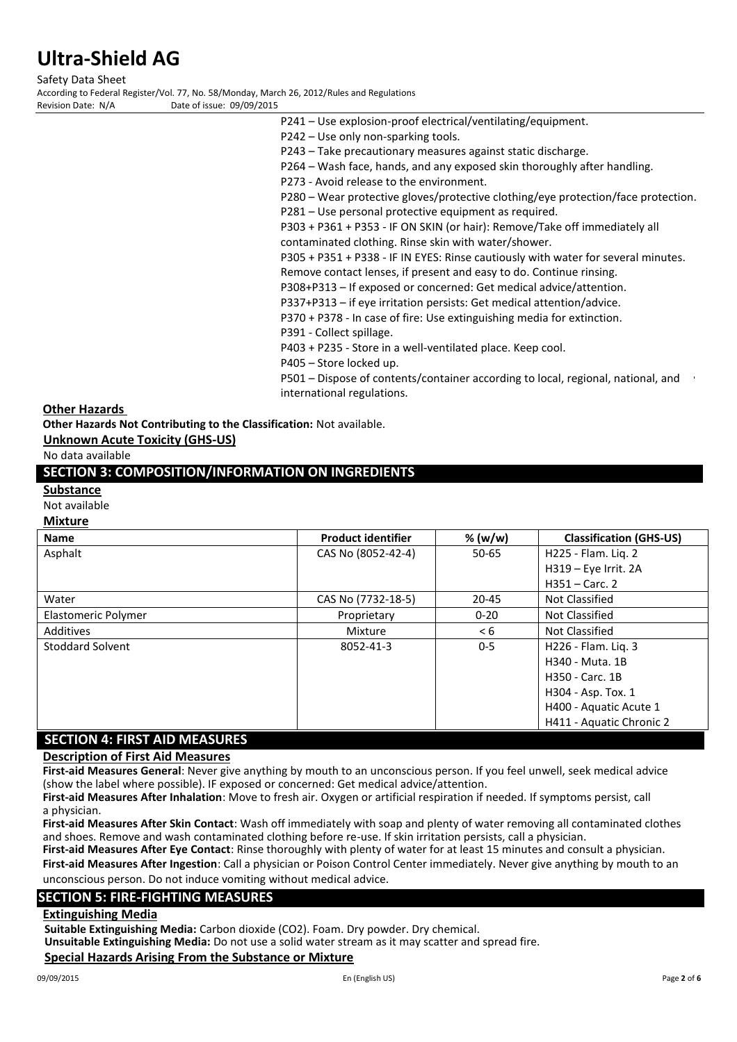Safety Data Sheet According to Federal Register/Vol. 77, No. 58/Monday, March 26, 2012/Rules and Regulations Date of issue: 09/09/2015

P241 – Use explosion-proof electrical/ventilating/equipment.

P242 – Use only non-sparking tools.

P243 – Take precautionary measures against static discharge.

P264 – Wash face, hands, and any exposed skin thoroughly after handling.

P273 - Avoid release to the environment.

P280 – Wear protective gloves/protective clothing/eye protection/face protection.

P281 – Use personal protective equipment as required.

P303 + P361 + P353 - IF ON SKIN (or hair): Remove/Take off immediately all contaminated clothing. Rinse skin with water/shower.

P305 + P351 + P338 - IF IN EYES: Rinse cautiously with water for several minutes. Remove contact lenses, if present and easy to do. Continue rinsing.

P308+P313 – If exposed or concerned: Get medical advice/attention.

P337+P313 – if eye irritation persists: Get medical attention/advice.

P370 + P378 - In case of fire: Use extinguishing media for extinction.

P391 - Collect spillage.

P403 + P235 - Store in a well-ventilated place. Keep cool.

P405 – Store locked up.

P501 – Dispose of contents/container according to local, regional, national, and international regulations.

#### **Other Hazards**

**Other Hazards Not Contributing to the Classification:** Not available.

**Unknown Acute Toxicity (GHS-US)**

No data available

## **SECTION 3: COMPOSITION/INFORMATION ON INGREDIENTS**

#### **Substance**

Not available

#### **Mixture**

| <b>Name</b>                          | <b>Product identifier</b> | % (w/w)   | <b>Classification (GHS-US)</b> |
|--------------------------------------|---------------------------|-----------|--------------------------------|
| Asphalt                              | CAS No (8052-42-4)        | $50 - 65$ | H225 - Flam. Liq. 2            |
|                                      |                           |           | H319 - Eye Irrit. 2A           |
|                                      |                           |           | $H351 - Carc.$ 2               |
| Water                                | CAS No (7732-18-5)        | $20 - 45$ | Not Classified                 |
| Elastomeric Polymer                  | Proprietary               | $0 - 20$  | Not Classified                 |
| Additives                            | Mixture                   | < 6       | Not Classified                 |
| Stoddard Solvent                     | 8052-41-3                 | $0 - 5$   | H226 - Flam. Lig. 3            |
|                                      |                           |           | H340 - Muta, 1B                |
|                                      |                           |           | H350 - Carc. 1B                |
|                                      |                           |           | H304 - Asp. Tox. 1             |
|                                      |                           |           | H400 - Aquatic Acute 1         |
|                                      |                           |           | H411 - Aquatic Chronic 2       |
| <b>SECTION 4: FIRST AID MEASURES</b> |                           |           |                                |

**Description of First Aid Measures**

**First-aid Measures General**: Never give anything by mouth to an unconscious person. If you feel unwell, seek medical advice (show the label where possible). IF exposed or concerned: Get medical advice/attention.

**First-aid Measures After Inhalation**: Move to fresh air. Oxygen or artificial respiration if needed. If symptoms persist, call a physician.

**First-aid Measures After Skin Contact**: Wash off immediately with soap and plenty of water removing all contaminated clothes and shoes. Remove and wash contaminated clothing before re-use. If skin irritation persists, call a physician.

**First-aid Measures After Eye Contact**: Rinse thoroughly with plenty of water for at least 15 minutes and consult a physician. **First-aid Measures After Ingestion**: Call a physician or Poison Control Center immediately. Never give anything by mouth to an unconscious person. Do not induce vomiting without medical advice.

#### **SECTION 5: FIRE-FIGHTING MEASURES**

#### **Extinguishing Media**

**Suitable Extinguishing Media:** Carbon dioxide (CO2). Foam. Dry powder. Dry chemical.

**Unsuitable Extinguishing Media:** Do not use a solid water stream as it may scatter and spread fire.

#### **Special Hazards Arising From the Substance or Mixture**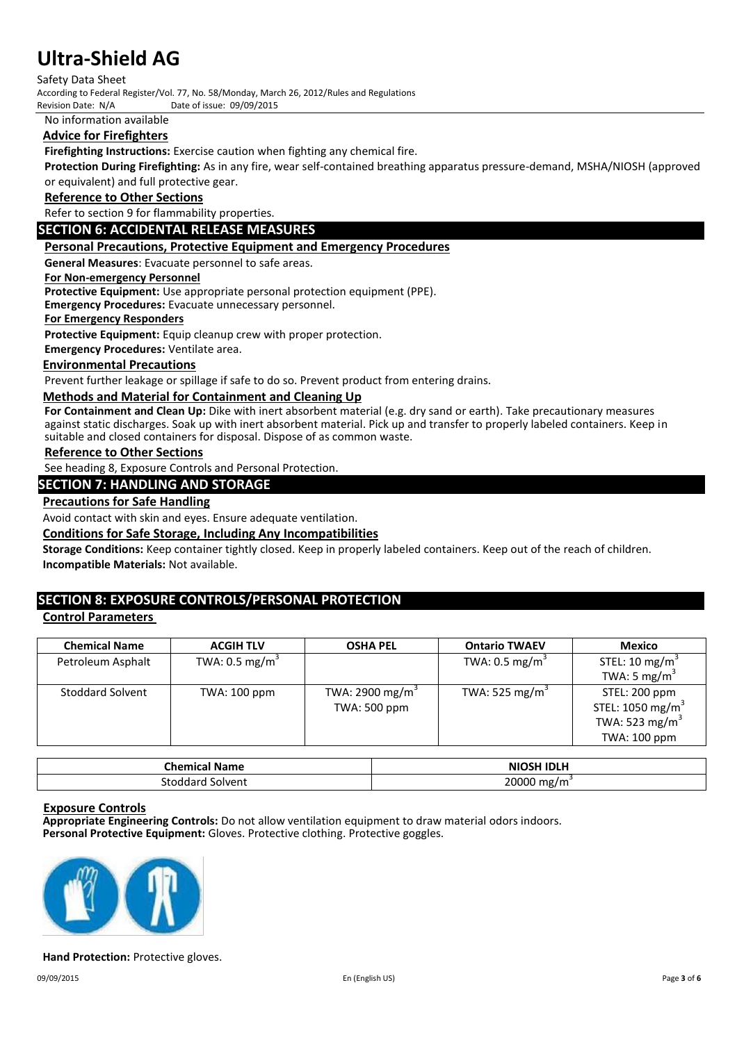Safety Data Sheet

According to Federal Register/Vol. 77, No. 58/Monday, March 26, 2012/Rules and Regulations

Date of issue: 09/09/2015

No information available

## **Advice for Firefighters**

**Firefighting Instructions:** Exercise caution when fighting any chemical fire.

**Protection During Firefighting:** As in any fire, wear self-contained breathing apparatus pressure-demand, MSHA/NIOSH (approved or equivalent) and full protective gear.

#### **Reference to Other Sections**

Refer to section 9 for flammability properties.

#### **SECTION 6: ACCIDENTAL RELEASE MEASURES**

#### **Personal Precautions, Protective Equipment and Emergency Procedures**

**General Measures**: Evacuate personnel to safe areas.

#### **For Non-emergency Personnel**

**Protective Equipment:** Use appropriate personal protection equipment (PPE).

**Emergency Procedures:** Evacuate unnecessary personnel.

#### **For Emergency Responders**

**Protective Equipment:** Equip cleanup crew with proper protection.

**Emergency Procedures:** Ventilate area.

#### **Environmental Precautions**

Prevent further leakage or spillage if safe to do so. Prevent product from entering drains.

#### **Methods and Material for Containment and Cleaning Up**

**For Containment and Clean Up:** Dike with inert absorbent material (e.g. dry sand or earth). Take precautionary measures against static discharges. Soak up with inert absorbent material. Pick up and transfer to properly labeled containers. Keep in suitable and closed containers for disposal. Dispose of as common waste.

#### **Reference to Other Sections**

See heading 8, Exposure Controls and Personal Protection.

#### **SECTION 7: HANDLING AND STORAGE**

#### **Precautions for Safe Handling**

Avoid contact with skin and eyes. Ensure adequate ventilation.

#### **Conditions for Safe Storage, Including Any Incompatibilities**

**Storage Conditions:** Keep container tightly closed. Keep in properly labeled containers. Keep out of the reach of children. **Incompatible Materials:** Not available.

### **SECTION 8: EXPOSURE CONTROLS/PERSONAL PROTECTION**

### **Control Parameters**

| <b>Chemical Name</b>    | <b>ACGIH TLV</b>          | <b>OSHA PEL</b>             | <b>Ontario TWAEV</b>       | <b>Mexico</b>                |
|-------------------------|---------------------------|-----------------------------|----------------------------|------------------------------|
| Petroleum Asphalt       | TWA: $0.5 \text{ mg/m}^3$ |                             | TWA: $0.5 \text{ mg/m}^3$  | STEL: 10 mg/m <sup>3</sup>   |
|                         |                           |                             |                            | TWA: 5 mg/m <sup>3</sup>     |
| <b>Stoddard Solvent</b> | TWA: 100 ppm              | TWA: 2900 mg/m <sup>3</sup> | TWA: 525 mg/m <sup>3</sup> | STEL: 200 ppm                |
|                         |                           | TWA: 500 ppm                |                            | STEL: 1050 mg/m <sup>3</sup> |
|                         |                           |                             |                            | TWA: 523 mg/m <sup>3</sup>   |
|                         |                           |                             |                            | TWA: 100 ppm                 |

| Chemical Name | <b>NIOSH IDLH</b> |
|---------------|-------------------|
| Solvent       |                   |
| Stoddard      | 20000 mg/m        |

#### **Exposure Controls**

**Appropriate Engineering Controls:** Do not allow ventilation equipment to draw material odors indoors. **Personal Protective Equipment:** Gloves. Protective clothing. Protective goggles.



#### **Hand Protection:** Protective gloves.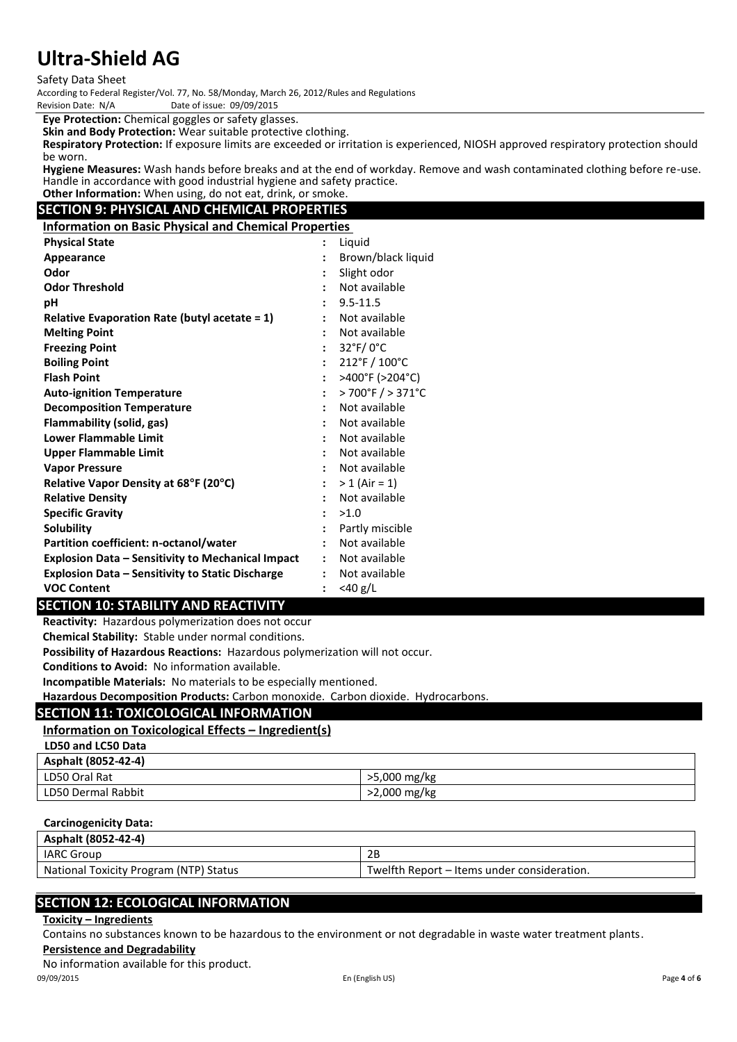Safety Data Sheet

According to Federal Register/Vol. 77, No. 58/Monday, March 26, 2012/Rules and Regulations Date of issue: 09/09/2015

**Eye Protection:** Chemical goggles or safety glasses.

**Skin and Body Protection:** Wear suitable protective clothing.

**Respiratory Protection:** If exposure limits are exceeded or irritation is experienced, NIOSH approved respiratory protection should be worn.

**Hygiene Measures:** Wash hands before breaks and at the end of workday. Remove and wash contaminated clothing before re-use. Handle in accordance with good industrial hygiene and safety practice. **Other Information:** When using, do not eat, drink, or smoke.

# **SECTION 9: PHYSICAL AND CHEMICAL PROPERTIES**

**Information on Basic Physical and Chemical Properties**

| <b>Physical State</b>                                    | $\ddot{\phantom{a}}$ | Liquid                               |
|----------------------------------------------------------|----------------------|--------------------------------------|
| Appearance                                               | $\ddot{\cdot}$       | Brown/black liquid                   |
| Odor                                                     |                      | Slight odor                          |
| <b>Odor Threshold</b>                                    |                      | Not available                        |
| рH                                                       |                      | $9.5 - 11.5$                         |
| Relative Evaporation Rate (butyl acetate $= 1$ )         |                      | Not available                        |
| <b>Melting Point</b>                                     |                      | Not available                        |
| <b>Freezing Point</b>                                    |                      | 32°F/0°C                             |
| <b>Boiling Point</b>                                     | $\ddot{\cdot}$       | $212^{\circ}$ F / $100^{\circ}$ C    |
| <b>Flash Point</b>                                       | $\ddot{\cdot}$       | >400°F (>204°C)                      |
| <b>Auto-ignition Temperature</b>                         | $\ddot{\cdot}$       | $>700^{\circ}$ F $/ > 371^{\circ}$ C |
| <b>Decomposition Temperature</b>                         |                      | Not available                        |
| Flammability (solid, gas)                                |                      | Not available                        |
| <b>Lower Flammable Limit</b>                             |                      | Not available                        |
| Upper Flammable Limit                                    |                      | Not available                        |
| <b>Vapor Pressure</b>                                    |                      | Not available                        |
| Relative Vapor Density at 68°F (20°C)                    | $\ddot{\cdot}$       | $> 1$ (Air = 1)                      |
| <b>Relative Density</b>                                  | $\ddot{\cdot}$       | Not available                        |
| <b>Specific Gravity</b>                                  | $\bullet$            | >1.0                                 |
| <b>Solubility</b>                                        |                      | Partly miscible                      |
| Partition coefficient: n-octanol/water                   | $\ddot{\cdot}$       | Not available                        |
| <b>Explosion Data - Sensitivity to Mechanical Impact</b> | $\ddot{\cdot}$       | Not available                        |
| <b>Explosion Data - Sensitivity to Static Discharge</b>  |                      | Not available                        |
| <b>VOC Content</b>                                       |                      | $<$ 40 g/L                           |

### **SECTION 10: STABILITY AND REACTIVITY**

**Reactivity:** Hazardous polymerization does not occur

**Chemical Stability:** Stable under normal conditions.

**Possibility of Hazardous Reactions:** Hazardous polymerization will not occur.

**Conditions to Avoid:** No information available.

**Incompatible Materials:** No materials to be especially mentioned.

**Hazardous Decomposition Products:** Carbon monoxide. Carbon dioxide. Hydrocarbons.

## **SECTION 11: TOXICOLOGICAL INFORMATION**

# **Information on Toxicological Effects – Ingredient(s)**

**LD50 and LC50 Data**

| Asphalt (8052-42-4) |              |
|---------------------|--------------|
| LD50 Oral Rat       | >5,000 mg/kg |
| LD50 Dermal Rabbit  | >2,000 mg/kg |

#### **Carcinogenicity Data:**

| Asphalt (8052-42-4)                    |                                             |
|----------------------------------------|---------------------------------------------|
| <b>IARC Group</b>                      | 2B                                          |
| National Toxicity Program (NTP) Status | Twelfth Report – Items under consideration. |

# **SECTION 12: ECOLOGICAL INFORMATION**

#### **Toxicity – Ingredients**

Contains no substances known to be hazardous to the environment or not degradable in waste water treatment plants.

**Persistence and Degradability**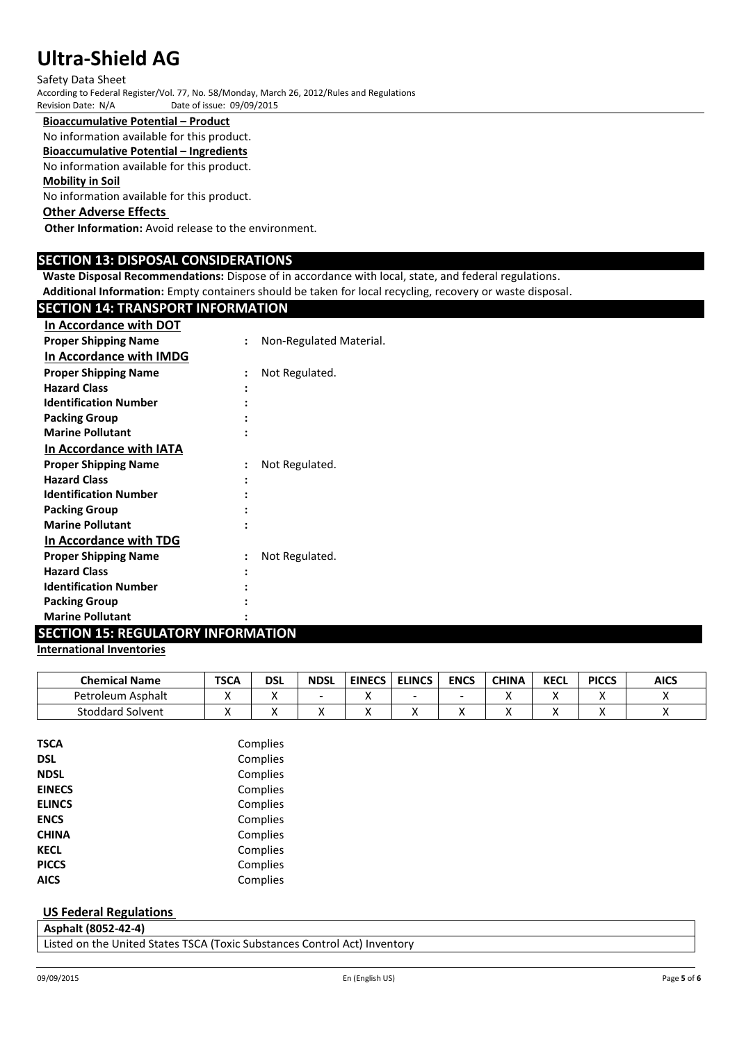Safety Data Sheet According to Federal Register/Vol. 77, No. 58/Monday, March 26, 2012/Rules and Regulations Date of issue: 09/09/2015

#### **Bioaccumulative Potential – Product**

No information available for this product.

### **Bioaccumulative Potential – Ingredients**

No information available for this product.

#### **Mobility in Soil**

No information available for this product.

## **Other Adverse Effects**

**Other Information:** Avoid release to the environment.

### **SECTION 13: DISPOSAL CONSIDERATIONS**

**Waste Disposal Recommendations:** Dispose of in accordance with local, state, and federal regulations.

**Additional Information:** Empty containers should be taken for local recycling, recovery or waste disposal.

# **SECTION 14: TRANSPORT INFORMATION In Accordance with DOT**

| <b>Proper Shipping Name</b>  | $\ddot{\cdot}$ | Non-Regulated Material. |
|------------------------------|----------------|-------------------------|
| In Accordance with IMDG      |                |                         |
| <b>Proper Shipping Name</b>  |                | Not Regulated.          |
| <b>Hazard Class</b>          |                |                         |
| <b>Identification Number</b> |                |                         |
| <b>Packing Group</b>         |                |                         |
| <b>Marine Pollutant</b>      |                |                         |
| In Accordance with IATA      |                |                         |
| <b>Proper Shipping Name</b>  | $\ddot{\cdot}$ | Not Regulated.          |
| <b>Hazard Class</b>          |                |                         |
| <b>Identification Number</b> |                |                         |
| <b>Packing Group</b>         |                |                         |
| <b>Marine Pollutant</b>      |                |                         |
| In Accordance with TDG       |                |                         |
| <b>Proper Shipping Name</b>  |                | Not Regulated.          |
| <b>Hazard Class</b>          |                |                         |
| <b>Identification Number</b> |                |                         |
| <b>Packing Group</b>         |                |                         |
| <b>Marine Pollutant</b>      |                |                         |

# **SECTION 15: REGULATORY INFORMATION**

#### **International Inventories**

| <b>Chemical Name</b>    | <b>TSCA</b> | DSL | <b>NDSL</b> | <b>EINECS</b> | <b>ELINCS</b> | <b>ENCS</b> | <b>CHINA</b> | <b>KECL</b> | <b>PICCS</b> | <b>AICS</b> |
|-------------------------|-------------|-----|-------------|---------------|---------------|-------------|--------------|-------------|--------------|-------------|
| Petroleum<br>i Asphalt  |             |     |             |               | -             |             |              |             |              |             |
| <b>Stoddard Solvent</b> |             |     |             |               |               |             |              |             |              |             |

| TSCA          | Complies |
|---------------|----------|
| <b>DSL</b>    | Complies |
| <b>NDSL</b>   | Complies |
| <b>EINECS</b> | Complies |
| <b>ELINCS</b> | Complies |
| <b>ENCS</b>   | Complies |
| <b>CHINA</b>  | Complies |
| <b>KECL</b>   | Complies |
| <b>PICCS</b>  | Complies |
| <b>AICS</b>   | Complies |
|               |          |

#### **US Federal Regulations**

|  | Asphalt (8052-42-4) |   |  |  |  |
|--|---------------------|---|--|--|--|
|  |                     | . |  |  |  |

Listed on the United States TSCA (Toxic Substances Control Act) Inventory